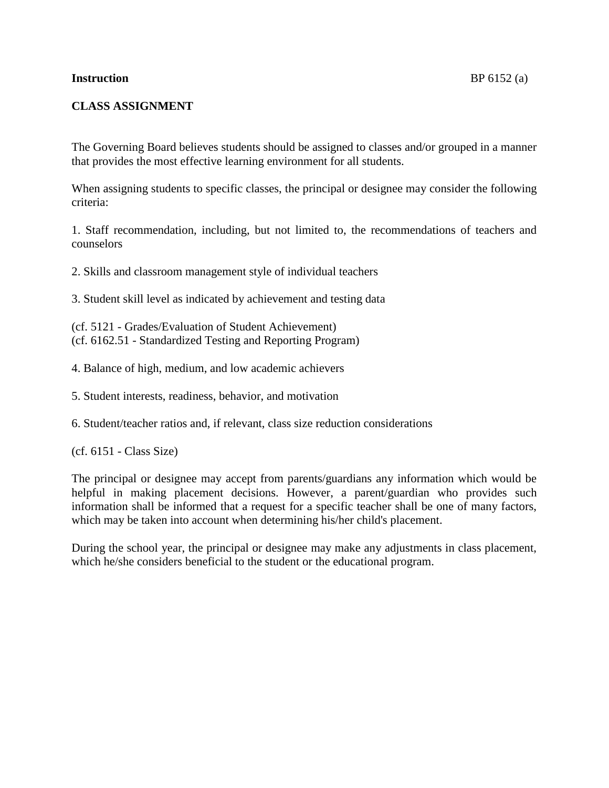## **CLASS ASSIGNMENT**

The Governing Board believes students should be assigned to classes and/or grouped in a manner that provides the most effective learning environment for all students.

When assigning students to specific classes, the principal or designee may consider the following criteria:

1. Staff recommendation, including, but not limited to, the recommendations of teachers and counselors

2. Skills and classroom management style of individual teachers

3. Student skill level as indicated by achievement and testing data

(cf. [5121](http://www.gamutonline.net/displayPolicy/315743/6) - Grades/Evaluation of Student Achievement) (cf. [6162.51](http://www.gamutonline.net/displayPolicy/352670/6) - Standardized Testing and Reporting Program)

4. Balance of high, medium, and low academic achievers

5. Student interests, readiness, behavior, and motivation

6. Student/teacher ratios and, if relevant, class size reduction considerations

(cf. [6151](http://www.gamutonline.net/displayPolicy/171635/6) - Class Size)

The principal or designee may accept from parents/guardians any information which would be helpful in making placement decisions. However, a parent/guardian who provides such information shall be informed that a request for a specific teacher shall be one of many factors, which may be taken into account when determining his/her child's placement.

During the school year, the principal or designee may make any adjustments in class placement, which he/she considers beneficial to the student or the educational program.